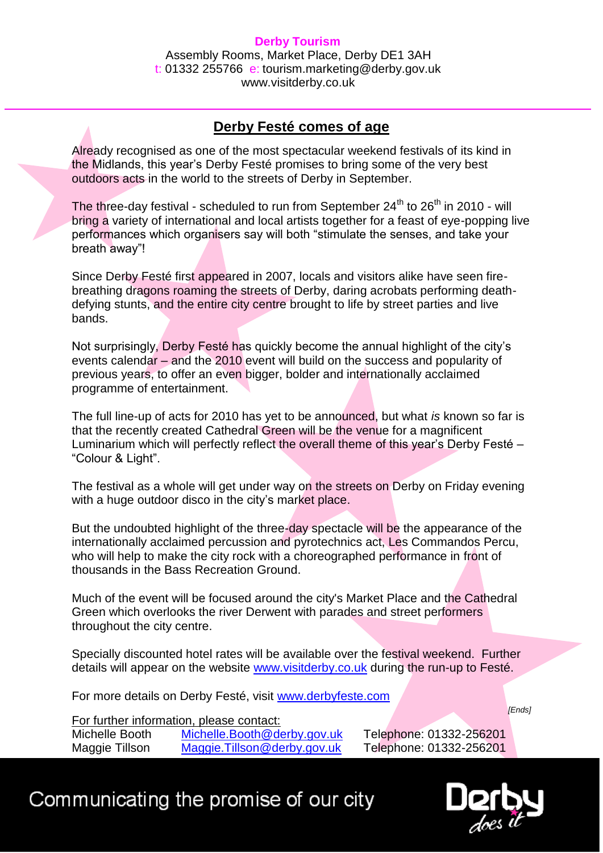## **Derby Tourism** Assembly Rooms, Market Place, Derby DE1 3AH t: 01332 255766 e: tourism.marketing@derby.gov.uk www.visitderby.co.uk

## **Derby Festé comes of age**

Already recognised as one of the most spectacular weekend festivals of its kind in the Midlands, this year's Derby Festé promises to bring some of the very best outdoors acts in the world to the streets of Derby in September.

The three-day festival - scheduled to run from September  $24<sup>th</sup>$  to  $26<sup>th</sup>$  in 2010 - will bring a variety of international and local artists together for a feast of eye-popping live performances which organisers say will both "stimulate the senses, and take your breath away"!

Since Derby Festé first appeared in 2007, locals and visitors alike have seen firebreathing dragons roaming the streets of Derby, daring acrobats performing deathdefying stunts, and the entire city centre brought to life by street parties and live bands.

Not surprisingly, Derby Festé has quickly become the annual highlight of the city's events calendar – and the 2010 event will build on the success and popularity of previous years, to offer an even bigger, bolder and internationally acclaimed programme of entertainment.

The full line-up of acts for 2010 has yet to be announced, but what *is* known so far is that the recently created Cathedral Green will be the venue for a magnificent Luminarium which will perfectly reflect the overall theme of this year's Derby Festé – "Colour & Light".

The festival as a whole will get under way on the streets on Derby on Friday evening with a huge outdoor disco in the city's market place.

But the undoubted highlight of the three-day spectacle will be the appearance of the internationally acclaimed percussion and pyrotechnics act, Les Commandos Percu, who will help to make the city rock with a choreographed performance in front of thousands in the Bass Recreation Ground.

Much of the event will be focused around the city's Market Place and the Cathedral Green which overlooks the river Derwent with parades and street performers throughout the city centre.

Specially discounted hotel rates will be available over the festival weekend. Further details will appear on the website [www.visitderby.co.uk](http://www.visitderby.co.uk/) during the run-up to Festé.

For more details on Derby Festé, visit [www.derbyfeste.com](http://www.derbyfeste.com/)

For further information, please contact:

Michelle Booth [Michelle.Booth@derby.gov.uk](mailto:Michelle.Booth@derby.gov.uk) Telephone: 01332-256201 Maggie Tillson [Maggie.Tillson@derby.gov.uk](mailto:Maggie.Tillson@derby.gov.uk) Telephone: 01332-256201

## Communicating the promise of our city



*[Ends]*